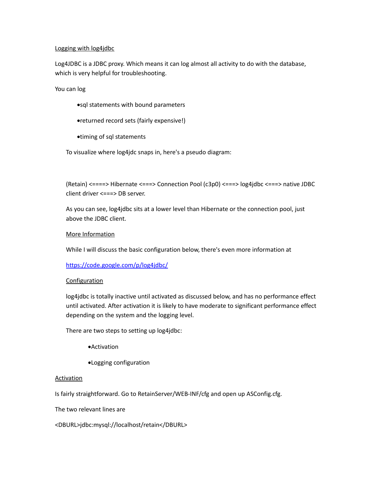## Logging with log4jdbc

Log4JDBC is a JDBC proxy. Which means it can log almost all activity to do with the database, which is very helpful for troubleshooting.

You can log

·sql statements with bound parameters

·returned record sets (fairly expensive!)

·timing of sql statements

To visualize where log4jdc snaps in, here's a pseudo diagram:

(Retain) <====> Hibernate <===> Connection Pool (c3p0) <===> log4jdbc <===> native JDBC client driver <===> DB server.

As you can see, log4jdbc sits at a lower level than Hibernate or the connection pool, just above the JDBC client.

### More Information

While I will discuss the basic configuration below, there's even more information at

## <https://code.google.com/p/log4jdbc/>

### **Configuration**

log4jdbc is totally inactive until activated as discussed below, and has no performance effect until activated. After activation it is likely to have moderate to significant performance effect depending on the system and the logging level.

There are two steps to setting up log4jdbc:

·Activation

·Logging configuration

### Activation

Is fairly straightforward. Go to RetainServer/WEB-INF/cfg and open up ASConfig.cfg.

The two relevant lines are

<DBURL>jdbc:mysql://localhost/retain</DBURL>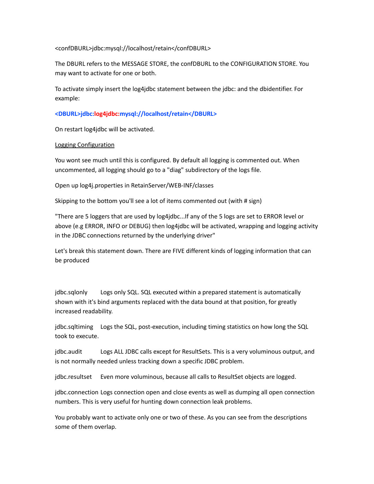## <confDBURL>jdbc:mysql://localhost/retain</confDBURL>

The DBURL refers to the MESSAGE STORE, the confDBURL to the CONFIGURATION STORE. You may want to activate for one or both.

To activate simply insert the log4jdbc statement between the jdbc: and the dbidentifier. For example:

# **<DBURL>jdbc:log4jdbc:mysql://localhost/retain</DBURL>**

On restart log4jdbc will be activated.

## Logging Configuration

You wont see much until this is configured. By default all logging is commented out. When uncommented, all logging should go to a "diag" subdirectory of the logs file.

Open up log4j.properties in RetainServer/WEB-INF/classes

Skipping to the bottom you'll see a lot of items commented out (with # sign)

"There are 5 loggers that are used by log4jdbc...If any of the 5 logs are set to ERROR level or above (e.g ERROR, INFO or DEBUG) then log4jdbc will be activated, wrapping and logging activity in the JDBC connections returned by the underlying driver"

Let's break this statement down. There are FIVE different kinds of logging information that can be produced

jdbc.sqlonly Logs only SQL. SQL executed within a prepared statement is automatically shown with it's bind arguments replaced with the data bound at that position, for greatly increased readability.

jdbc.sqltiming Logs the SQL, post-execution, including timing statistics on how long the SQL took to execute.

jdbc.audit Logs ALL JDBC calls except for ResultSets. This is a very voluminous output, and is not normally needed unless tracking down a specific JDBC problem.

jdbc.resultset Even more voluminous, because all calls to ResultSet objects are logged.

jdbc.connection Logs connection open and close events as well as dumping all open connection numbers. This is very useful for hunting down connection leak problems.

You probably want to activate only one or two of these. As you can see from the descriptions some of them overlap.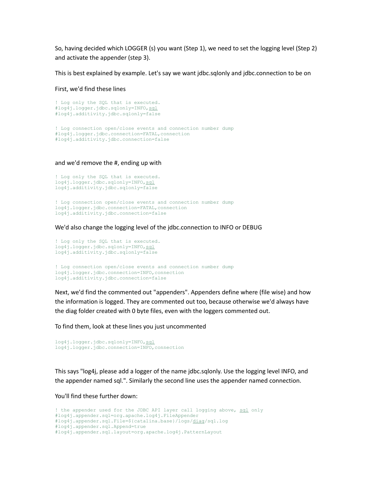So, having decided which LOGGER (s) you want (Step 1), we need to set the logging level (Step 2) and activate the appender (step 3).

This is best explained by example. Let's say we want jdbc.sqlonly and jdbc.connection to be on

First, we'd find these lines

```
! Log only the SQL that is executed.
#log4j.logger.jdbc.sqlonly=INFO,sql
#log4j.additivity.jdbc.sqlonly=false
! Log connection open/close events and connection number dump
#log4j.logger.jdbc.connection=FATAL,connection
#log4j.additivity.jdbc.connection=false
```
#### and we'd remove the #, ending up with

```
! Log only the SQL that is executed.
log4j.logger.jdbc.sqlonly=INFO,sql
log4j.additivity.jdbc.sqlonly=false
! Log connection open/close events and connection number dump
log4j.logger.jdbc.connection=FATAL,connection
log4j.additivity.jdbc.connection=false
```
We'd also change the logging level of the jdbc.connection to INFO or DEBUG

```
! Log only the SQL that is executed.
log4j.logger.jdbc.sqlonly=INFO,sql
log4j.additivity.jdbc.sqlonly=false
! Log connection open/close events and connection number dump
log4j.logger.jdbc.connection=INFO,connection
log4j.additivity.jdbc.connection=false
```
Next, we'd find the commented out "appenders". Appenders define where (file wise) and how the information is logged. They are commented out too, because otherwise we'd always have the diag folder created with 0 byte files, even with the loggers commented out.

To find them, look at these lines you just uncommented

```
log4j.logger.jdbc.sqlonly=INFO,sql
log4j.logger.jdbc.connection=INFO,connection
```
This says "log4j, please add a logger of the name jdbc.sqlonly. Use the logging level INFO, and the appender named sql.". Similarly the second line uses the appender named connection.

You'll find these further down:

```
! the appender used for the JDBC API layer call logging above, sql only
#log4j.appender.sql=org.apache.log4j.FileAppender
#log4j.appender.sql.File=${catalina.base}/logs/diag/sql.log
#log4j.appender.sql.Append=true
#log4j.appender.sql.layout=org.apache.log4j.PatternLayout
```